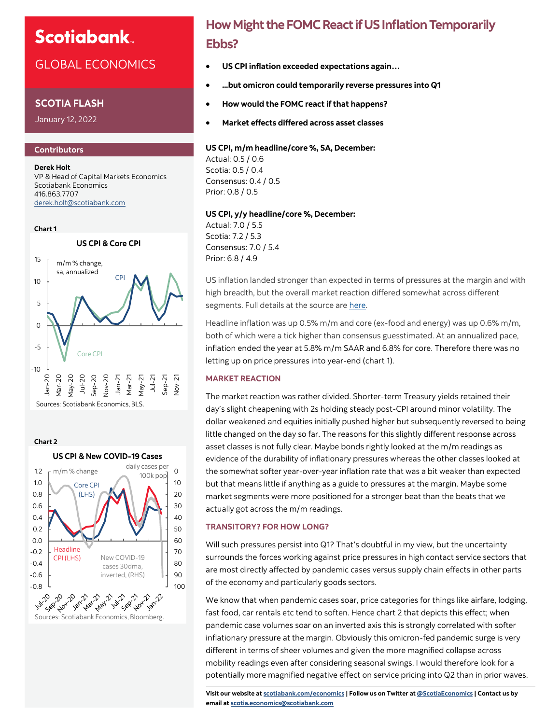## GLOBAL ECONOMICS

## **SCOTIA FLASH**

January 12, 2022

## **Contributors**

**Derek Holt** VP & Head of Capital Markets Economics Scotiabank Economics 416.863.7707 [derek.holt@scotiabank.com](mailto:derek.holt@scotiabank.com)





**How Might the FOMC React if US Inflation Temporarily Ebbs?**

- **US CPI inflation exceeded expectations again…**
- **...but omicron could temporarily reverse pressures into Q1**
- **How would the FOMC react if that happens?**
- **Market effects differed across asset classes**

## **US CPI, m/m headline/core %, SA, December:**

Actual: 0.5 / 0.6 Scotia: 0.5 / 0.4 Consensus: 0.4 / 0.5 Prior: 0.8 / 0.5

## **US CPI, y/y headline/core %, December:**

Actual: 7.0 / 5.5 Scotia: 7.2 / 5.3 Consensus: 7.0 / 5.4 Prior: 6.8 / 4.9

US inflation landed stronger than expected in terms of pressures at the margin and with high breadth, but the overall market reaction differed somewhat across different segments. Full details at the source are [here.](https://www.bls.gov/news.release/cpi.t02.htm)

Headline inflation was up 0.5% m/m and core (ex-food and energy) was up 0.6% m/m, both of which were a tick higher than consensus guesstimated. At an annualized pace, inflation ended the year at 5.8% m/m SAAR and 6.8% for core. Therefore there was no letting up on price pressures into year-end (chart 1).

## **MARKET REACTION**

The market reaction was rather divided. Shorter-term Treasury yields retained their day's slight cheapening with 2s holding steady post-CPI around minor volatility. The dollar weakened and equities initially pushed higher but subsequently reversed to being little changed on the day so far. The reasons for this slightly different response across asset classes is not fully clear. Maybe bonds rightly looked at the m/m readings as evidence of the durability of inflationary pressures whereas the other classes looked at the somewhat softer year-over-year inflation rate that was a bit weaker than expected but that means little if anything as a guide to pressures at the margin. Maybe some market segments were more positioned for a stronger beat than the beats that we actually got across the m/m readings.

## **TRANSITORY? FOR HOW LONG?**

Will such pressures persist into Q1? That's doubtful in my view, but the uncertainty surrounds the forces working against price pressures in high contact service sectors that are most directly affected by pandemic cases versus supply chain effects in other parts of the economy and particularly goods sectors.

We know that when pandemic cases soar, price categories for things like airfare, lodging, fast food, car rentals etc tend to soften. Hence chart 2 that depicts this effect; when pandemic case volumes soar on an inverted axis this is strongly correlated with softer inflationary pressure at the margin. Obviously this omicron-fed pandemic surge is very different in terms of sheer volumes and given the more magnified collapse across mobility readings even after considering seasonal swings. I would therefore look for a potentially more magnified negative effect on service pricing into Q2 than in prior waves.

**Visit our website at [scotiabank.com/economics](https://www.scotiabank.com/ca/en/about/global-economics/economics-publications.html) | Follow us on Twitter at [@ScotiaEconomics](https://twitter.com/ScotiaEconomics) | Contact us by email at scotia.economics@scotiabank.com**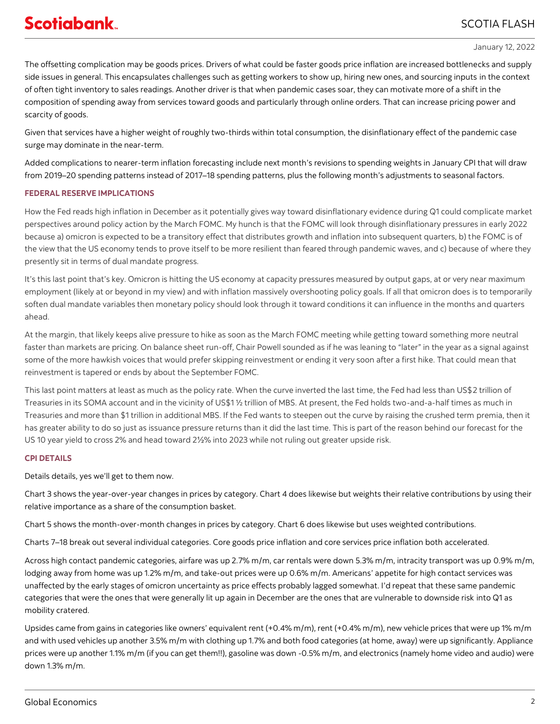### January 12, 2022

The offsetting complication may be goods prices. Drivers of what could be faster goods price inflation are increased bottlenecks and supply side issues in general. This encapsulates challenges such as getting workers to show up, hiring new ones, and sourcing inputs in the context of often tight inventory to sales readings. Another driver is that when pandemic cases soar, they can motivate more of a shift in the composition of spending away from services toward goods and particularly through online orders. That can increase pricing power and scarcity of goods.

Given that services have a higher weight of roughly two-thirds within total consumption, the disinflationary effect of the pandemic case surge may dominate in the near-term.

Added complications to nearer-term inflation forecasting include next month's revisions to spending weights in January CPI that will draw from 2019–20 spending patterns instead of 2017–18 spending patterns, plus the following month's adjustments to seasonal factors.

## **FEDERAL RESERVE IMPLICATIONS**

How the Fed reads high inflation in December as it potentially gives way toward disinflationary evidence during Q1 could complicate market perspectives around policy action by the March FOMC. My hunch is that the FOMC will look through disinflationary pressures in early 2022 because a) omicron is expected to be a transitory effect that distributes growth and inflation into subsequent quarters, b) the FOMC is of the view that the US economy tends to prove itself to be more resilient than feared through pandemic waves, and c) because of where they presently sit in terms of dual mandate progress.

It's this last point that's key. Omicron is hitting the US economy at capacity pressures measured by output gaps, at or very near maximum employment (likely at or beyond in my view) and with inflation massively overshooting policy goals. If all that omicron does is to temporarily soften dual mandate variables then monetary policy should look through it toward conditions it can influence in the months and quarters ahead.

At the margin, that likely keeps alive pressure to hike as soon as the March FOMC meeting while getting toward something more neutral faster than markets are pricing. On balance sheet run-off, Chair Powell sounded as if he was leaning to "later" in the year as a signal against some of the more hawkish voices that would prefer skipping reinvestment or ending it very soon after a first hike. That could mean that reinvestment is tapered or ends by about the September FOMC.

This last point matters at least as much as the policy rate. When the curve inverted the last time, the Fed had less than US\$2 trillion of Treasuries in its SOMA account and in the vicinity of US\$1 ½ trillion of MBS. At present, the Fed holds two-and-a-half times as much in Treasuries and more than \$1 trillion in additional MBS. If the Fed wants to steepen out the curve by raising the crushed term premia, then it has greater ability to do so just as issuance pressure returns than it did the last time. This is part of the reason behind our forecast for the US 10 year yield to cross 2% and head toward 2½% into 2023 while not ruling out greater upside risk.

## **CPI DETAILS**

Details details, yes we'll get to them now.

Chart 3 shows the year-over-year changes in prices by category. Chart 4 does likewise but weights their relative contributions by using their relative importance as a share of the consumption basket.

Chart 5 shows the month-over-month changes in prices by category. Chart 6 does likewise but uses weighted contributions.

Charts 7–18 break out several individual categories. Core goods price inflation and core services price inflation both accelerated.

Across high contact pandemic categories, airfare was up 2.7% m/m, car rentals were down 5.3% m/m, intracity transport was up 0.9% m/m, lodging away from home was up 1.2% m/m, and take-out prices were up 0.6% m/m. Americans' appetite for high contact services was unaffected by the early stages of omicron uncertainty as price effects probably lagged somewhat. I'd repeat that these same pandemic categories that were the ones that were generally lit up again in December are the ones that are vulnerable to downside risk into Q1 as mobility cratered.

Upsides came from gains in categories like owners' equivalent rent (+0.4% m/m), rent (+0.4% m/m), new vehicle prices that were up 1% m/m and with used vehicles up another 3.5% m/m with clothing up 1.7% and both food categories (at home, away) were up significantly. Appliance prices were up another 1.1% m/m (if you can get them!!), gasoline was down -0.5% m/m, and electronics (namely home video and audio) were down 1.3% m/m.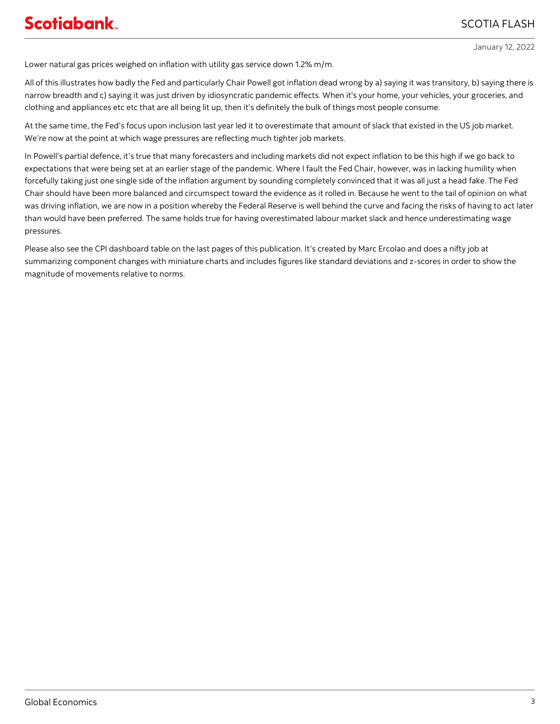January 12, 2022

Lower natural gas prices weighed on inflation with utility gas service down 1.2% m/m.

All of this illustrates how badly the Fed and particularly Chair Powell got inflation dead wrong by a) saying it was transitory, b) saying there is narrow breadth and c) saying it was just driven by idiosyncratic pandemic effects. When it's your home, your vehicles, your groceries, and clothing and appliances etc etc that are all being lit up, then it's definitely the bulk of things most people consume.

At the same time, the Fed's focus upon inclusion last year led it to overestimate that amount of slack that existed in the US job market. We're now at the point at which wage pressures are reflecting much tighter job markets.

In Powell's partial defence, it's true that many forecasters and including markets did not expect inflation to be this high if we go back to expectations that were being set at an earlier stage of the pandemic. Where I fault the Fed Chair, however, was in lacking humility when forcefully taking just one single side of the inflation argument by sounding completely convinced that it was all just a head fake. The Fed Chair should have been more balanced and circumspect toward the evidence as it rolled in. Because he went to the tail of opinion on what was driving inflation, we are now in a position whereby the Federal Reserve is well behind the curve and facing the risks of having to act later than would have been preferred. The same holds true for having overestimated labour market slack and hence underestimating wage pressures.

Please also see the CPI dashboard table on the last pages of this publication. It's created by Marc Ercolao and does a nifty job at summarizing component changes with miniature charts and includes figures like standard deviations and z-scores in order to show the magnitude of movements relative to norms.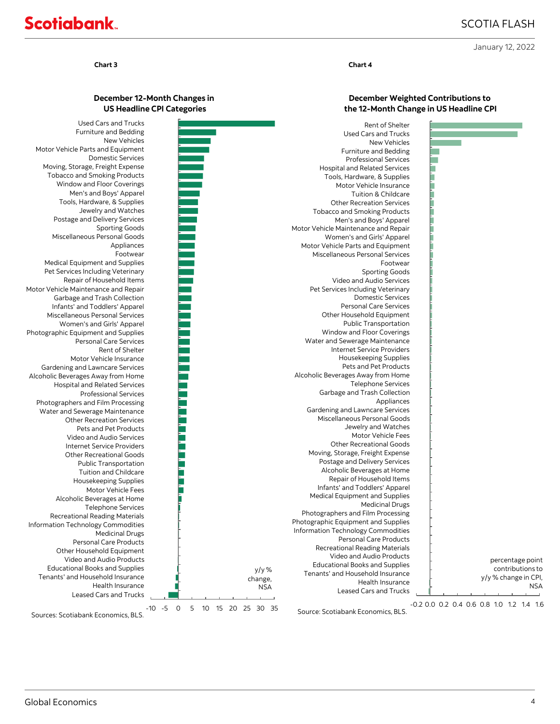January 12, 2022

# **Scotiabank**

### **Chart 3 Chart 4**

## **December 12-Month Changes in US Headline CPI Categories**

Шиннинг

a da antara da Santo Barcal de Santo de Santo de Santo de Santo de Santo de Santo de Santo de Santo de Santo d

-10 -5 0 5 10 15 20 25 30 35 Leased Cars and Trucks Health Insurance Tenants' and Household Insurance Educational Books and Supplies Video and Audio Products Other Household Equipment Personal Care Products Medicinal Drugs Information Technology Commodities Recreational Reading Materials Telephone Services Alcoholic Beverages at Home Motor Vehicle Fees Housekeeping Supplies Tuition and Childcare Public Transportation Other Recreational Goods Internet Service Providers Video and Audio Services Pets and Pet Products Other Recreation Services Water and Sewerage Maintenance Photographers and Film Processing Professional Services Hospital and Related Services Alcoholic Beverages Away from Home Gardening and Lawncare Services Motor Vehicle Insurance Rent of Shelter Personal Care Services Photographic Equipment and Supplies Women's and Girls' Apparel Miscellaneous Personal Services Infants' and Toddlers' Apparel Garbage and Trash Collection Motor Vehicle Maintenance and Repair Repair of Household Items Pet Services Including Veterinary Medical Equipment and Supplies Footwear Appliances Miscellaneous Personal Goods Sporting Goods Postage and Delivery Services Jewelry and Watches Tools, Hardware, & Supplies Men's and Boys' Apparel Window and Floor Coverings Tobacco and Smoking Products Moving, Storage, Freight Expense Domestic Services Motor Vehicle Parts and Equipment New Vehicles Furniture and Bedding Used Cars and Trucks

Sources: Scotiabank Economics, BLS.

## **December Weighted Contributions to the 12-Month Change in US Headline CPI**

|            | Rent of Shelter                       |                      |
|------------|---------------------------------------|----------------------|
|            | <b>Used Cars and Trucks</b>           |                      |
|            | New Vehicles                          |                      |
|            | <b>Furniture and Bedding</b>          |                      |
|            | <b>Professional Services</b>          |                      |
|            | <b>Hospital and Related Services</b>  |                      |
|            | Tools, Hardware, & Supplies           |                      |
|            | Motor Vehicle Insurance               |                      |
|            | Tuition & Childcare                   |                      |
|            | <b>Other Recreation Services</b>      |                      |
|            | <b>Tobacco and Smoking Products</b>   |                      |
|            | Men's and Boys' Apparel               |                      |
|            | Motor Vehicle Maintenance and Repair  |                      |
|            | Women's and Girls' Apparel            |                      |
|            | Motor Vehicle Parts and Equipment     |                      |
|            | Miscellaneous Personal Services       |                      |
|            | Footwear                              |                      |
|            | <b>Sporting Goods</b>                 |                      |
|            | Video and Audio Services              |                      |
|            | Pet Services Including Veterinary     |                      |
|            | <b>Domestic Services</b>              |                      |
|            | <b>Personal Care Services</b>         |                      |
|            | Other Household Equipment             |                      |
|            | Public Transportation                 |                      |
|            | Window and Floor Coverings            |                      |
|            | Water and Sewerage Maintenance        |                      |
|            | Internet Service Providers            |                      |
|            | Housekeeping Supplies                 |                      |
|            | Pets and Pet Products                 |                      |
|            | Alcoholic Beverages Away from Home    |                      |
|            | <b>Telephone Services</b>             |                      |
|            | Garbage and Trash Collection          |                      |
|            | Appliances                            |                      |
|            | Gardening and Lawncare Services       |                      |
|            | Miscellaneous Personal Goods          |                      |
|            | Jewelry and Watches                   |                      |
|            | Motor Vehicle Fees                    |                      |
|            | <b>Other Recreational Goods</b>       |                      |
|            | Moving, Storage, Freight Expense      |                      |
|            | Postage and Delivery Services         |                      |
|            | Alcoholic Beverages at Home           |                      |
|            | Repair of Household Items             |                      |
|            | Infants' and Toddlers' Apparel        |                      |
|            | Medical Equipment and Supplies        |                      |
|            | <b>Medicinal Drugs</b>                |                      |
|            | Photographers and Film Processing     |                      |
|            | Photographic Equipment and Supplies   |                      |
|            | Information Technology Commodities    |                      |
|            | Personal Care Products                |                      |
|            | <b>Recreational Reading Materials</b> |                      |
|            | Video and Audio Products              | percentage point     |
| y/y%       | <b>Educational Books and Supplies</b> | contributions to     |
| change,    | Tenants' and Household Insurance      | y/y % change in CPI, |
| <b>NSA</b> | Health Insurance                      | NSA                  |
|            | Leased Cars and Trucks                |                      |

Source: Scotiabank Economics, BLS.

-0.2 0.0 0.2 0.4 0.6 0.8 1.0 1.2 1.4 1.6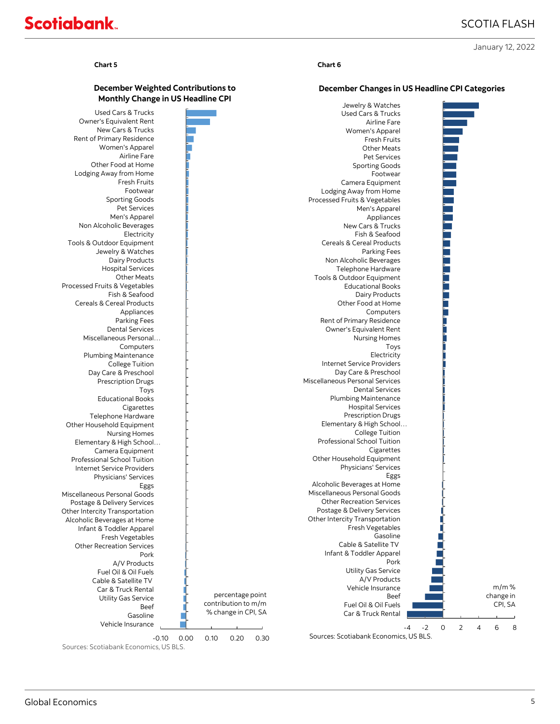January 12, 2022

# **Scotiabank**

**December Weighted Contributions to** 

## **Chart 5 Chart 6**

## **December Changes in US Headline CPI Categories**

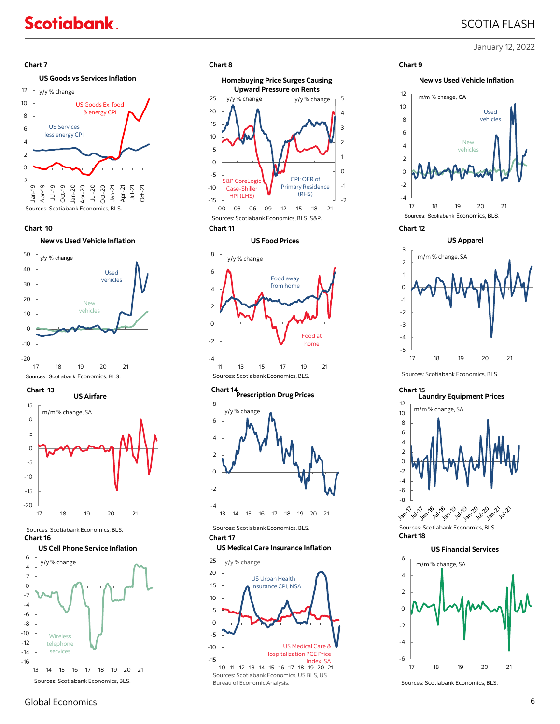## SCOTIA FLASH

January 12, 2022

## **Chart 7 Chart 8 Chart 9**

## **US Goods vs Services Inflation**



**Chart 10 Chart 11**







#### Sources: Scotiabank Economics, BLS. **Chart 16** Chart 17

### **US Cell Phone Service Inflation**





#### **US Food Prices**



## **Prescription Drug Prices Chart 13 Chart 14 Chart 15**



Sources: Scotiabank Economics, BLS.

#### **US Medical Care Insurance Inflation**







#### **Chart 12**



Sources: Scotiabank Economics, BLS.

## **Laundry Equipment Prices**



**Chart 18** 





Sources: Scotiabank Economics, BLS.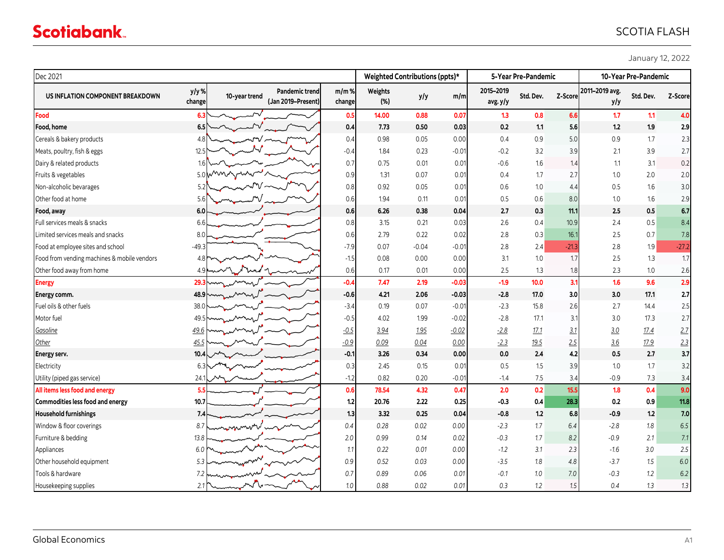| Dec 2021                                    |                                            |                                                              |                   |                | Weighted Contributions (ppts)* |         | 5-Year Pre-Pandemic  |           |         | 10-Year Pre-Pandemic  |           |         |
|---------------------------------------------|--------------------------------------------|--------------------------------------------------------------|-------------------|----------------|--------------------------------|---------|----------------------|-----------|---------|-----------------------|-----------|---------|
| US INFLATION COMPONENT BREAKDOWN            | y/y%<br>change                             | <b>Pandemic trend</b><br>10-year trend<br>(Jan 2019-Present) | $m/m$ %<br>change | Weights<br>(%) | y/y                            | m/m     | 2015-2019<br>avg.y/y | Std. Dev. | Z-Score | 2011-2019 avg.<br>y/y | Std. Dev. | Z-Score |
| Food                                        | 6.3                                        |                                                              | 0.5               | 14.00          | 0.88                           | 0.07    | 1.3                  | 0.8       | 6.6     | 1.7                   | 1.1       | 4.0     |
| Food, home                                  | 6.5                                        |                                                              | 0.4               | 7.73           | 0.50                           | 0.03    | 0.2                  | 1.1       | 5.6     | 1.2                   | 1.9       | 2.9     |
| Cereals & bakery products                   | 4.8                                        |                                                              | 0.4               | 0.98           | 0.05                           | 0.00    | 0.4                  | 0.9       | 5.0     | 0.9                   | 1.7       | 2.3     |
| Meats, poultry, fish & eggs                 | 12.5                                       |                                                              | $-0.4$            | 1.84           | 0.23                           | $-0.01$ | $-0.2$               | 3.2       | 3.9     | 2.1                   | 3.9       | 2.7     |
| Dairy & related products                    | 1.6                                        |                                                              | 0.7               | 0.75           | 0.01                           | 0.01    | $-0.6$               | 1.6       | 1.4     | 1.1                   | 3.1       | 0.2     |
| Fruits & vegetables                         | 5.0                                        |                                                              | 0.9               | 1.31           | 0.07                           | 0.01    | 0.4                  | 1.7       | 2.7     | 1.0                   | 2.0       | 2.0     |
| Non-alcoholic bevarages                     | 5.2                                        |                                                              | 0.8               | 0.92           | 0.05                           | 0.01    | 0.6                  | 1.0       | 4.4     | 0.5                   | 1.6       | 3.0     |
| Other food at home                          | 5.6                                        |                                                              | 0.6               | 1.94           | 0.11                           | 0.01    | 0.5                  | 0.6       | 8.0     | 1.0                   | 1.6       | 2.9     |
| Food, away                                  | 6.0                                        |                                                              | 0.6               | 6.26           | 0.38                           | 0.04    | 2.7                  | 0.3       | 11.1    | 2.5                   | 0.5       | 6.7     |
| Full services meals & snacks                | 6.6                                        |                                                              | 0.8               | 3.15           | 0.21                           | 0.03    | 2.6                  | 0.4       | 10.9    | 2.4                   | 0.5       | 8.4     |
| Limited services meals and snacks           | 8.0                                        |                                                              | 0.6               | 2.79           | 0.22                           | 0.02    | 2.8                  | 0.3       | 16.1    | 2.5                   | 0.7       | 7.8     |
| Food at employee sites and school           | $-49.3$                                    |                                                              | $-7.9$            | 0.07           | $-0.04$                        | $-0.01$ | 2.8                  | 2.4       | $-21.3$ | 2.8                   | 1.9       | $-27.2$ |
| Food from vending machines & mobile vendors | 4.8                                        |                                                              | $-1.5$            | 0.08           | 0.00                           | 0.00    | 3.1                  | 1.0       | 1.7     | 2.5                   | 1.3       | 1.7     |
| Other food away from home                   | 4.9                                        |                                                              | 0.6               | 0.17           | 0.01                           | 0.00    | 2.5                  | 1.3       | 1.8     | 2.3                   | $1.0\,$   | 2.6     |
| <b>Energy</b>                               | 29.3                                       |                                                              | $-0.4$            | 7.47           | 2.19                           | $-0.03$ | $-1.9$               | 10.0      | 3.1     | 1.6                   | 9.6       | 2.9     |
| Energy comm.                                | 48.9                                       |                                                              | $-0.6$            | 4.21           | 2.06                           | $-0.03$ | $-2.8$               | 17.0      | 3.0     | 3.0                   | 17.1      | 2.7     |
| Fuel oils & other fuels                     | 38.0                                       |                                                              | $-3.4$            | 0.19           | 0.07                           | $-0.01$ | $-2.3$               | 15.8      | 2.6     | 2.7                   | 14.4      | 2.5     |
| Motor fuel                                  | 49.5                                       |                                                              | $-0.5$            | 4.02           | 1.99                           | $-0.02$ | $-2.8$               | 17.1      | 3.1     | 3.0                   | 17.3      | 2.7     |
| Gasoline                                    | 49.6                                       |                                                              | $-0.5$            | 3.94           | 1.95                           | $-0.02$ | $-2.8$               | 17.1      | 3.1     | 3.0                   | 17.4      | 2.7     |
| Other                                       | 45.5                                       |                                                              | $-0.9$            | 0.09           | 0.04                           | 0.00    | $-2.3$               | 19.5      | 2.5     | 3.6                   | 17.9      | 2.3     |
| <b>Energy serv.</b>                         | 10.4                                       |                                                              | $-0.1$            | 3.26           | 0.34                           | 0.00    | 0.0                  | 2.4       | 4.2     | 0.5                   | 2.7       | 3.7     |
| Electricity                                 | 6.3                                        |                                                              | 0.3               | 2.45           | 0.15                           | 0.01    | 0.5                  | 1.5       | 3.9     | 1.0                   | 1.7       | 3.2     |
| Utility (piped gas service)                 | 24.1                                       |                                                              | $-1.2$            | 0.82           | 0.20                           | $-0.01$ | $-1.4$               | 7.5       | 3.4     | $-0.9$                | 7.3       | 3.4     |
| All items less food and energy              | 5.5                                        |                                                              | 0.6               | 78.54          | 4.32                           | 0.47    | 2.0                  | 0.2       | 15.5    | 1.8                   | 0.4       | 9.0     |
| Commodities less food and energy            | 10.7                                       |                                                              | 1.2               | 20.76          | 2.22                           | 0.25    | $-0.3$               | 0.4       | 28.3    | 0.2                   | 0.9       | 11.8    |
| <b>Household furnishings</b>                | 7.4                                        |                                                              | 1.3               | 3.32           | 0.25                           | 0.04    | $-0.8$               | 1.2       | 6.8     | $-0.9$                | 1.2       | 7.0     |
| Window & floor coverings                    | 8.7                                        |                                                              | 0.4               | 0.28           | 0.02                           | 0.00    | $-2.3$               | 1.7       | 6.4     | $-2.8$                | 1.8       | 6.5     |
| Furniture & bedding                         | 13.8                                       |                                                              | 2.0               | 0.99           | 0.14                           | 0.02    | $-0.3$               | 1.7       | 8.2     | $-0.9$                | 2.1       | 7.1     |
| Appliances                                  | 6.0                                        |                                                              | 1.1               | 0.22           | 0.01                           | 0.00    | $-1.2$               | 3.1       | 2.3     | $-1.6$                | 3.0       | 2.5     |
| Other household equipment                   | 5.3                                        | mumm                                                         | 0.9               | 0.52           | 0.03                           | 0.00    | $-3.5$               | 1.8       | 4.8     | $-3.7$                | 1.5       | $6.0\,$ |
| Tools & hardware                            | 7.2                                        |                                                              | 0.7               | 0.89           | 0.06                           | 0.01    | $-0.1$               | 1.0       | 7.0     | $-0.3$                | 1.2       | 6.2     |
| Housekeeping supplies                       | $2.1$ <sup><math>\overline{ }</math></sup> |                                                              | 1.0               | 0.88           | 0.02                           | 0.01    | 0.3                  | 1.2       | 1.5     | 0.4                   | 1.3       | 1.3     |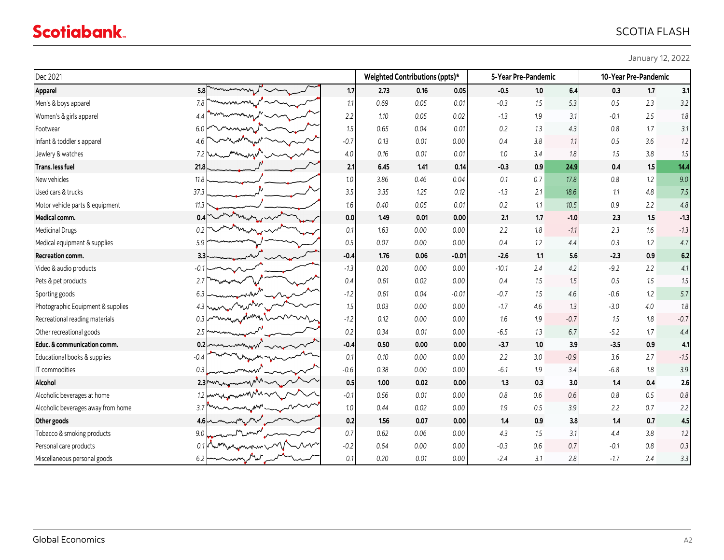| January 12, 2022 |
|------------------|
|------------------|

| Dec 2021                           |                                  |         | Weighted Contributions (ppts)* |      |         | 5-Year Pre-Pandemic |     |        | 10-Year Pre-Pandemic |         |        |
|------------------------------------|----------------------------------|---------|--------------------------------|------|---------|---------------------|-----|--------|----------------------|---------|--------|
| <b>Apparel</b>                     | 5.8                              | 1.7     | 2.73                           | 0.16 | 0.05    | $-0.5$              | 1.0 | 6.4    | 0.3                  | 1.7     | 3.1    |
| Men's & boys apparel               | 7.8                              | 1.1     | 0.69                           | 0.05 | 0.01    | $-0.3$              | 1.5 | 5.3    | 0.5                  | 2.3     | 3.2    |
| Women's & girls apparel            | 4.4                              | 2.2     | 1.10                           | 0.05 | 0.02    | $-1.3$              | 1.9 | 3.1    | $-0.1$               | 2.5     | 1.8    |
| Footwear                           | 6.0                              | $1.5\,$ | 0.65                           | 0.04 | 0.01    | 0.2                 | 1.3 | 4.3    | 0.8                  | 1.7     | 3.1    |
| Infant & toddler's apparel         | 4.6                              | $-0.7$  | 0.13                           | 0.01 | 0.00    | 0.4                 | 3.8 | 1.1    | 0.5                  | 3.6     | 1.2    |
| Jewlery & watches                  | 7.2                              | $4.0\,$ | 0.16                           | 0.01 | 0.01    | 1.0                 | 3.4 | 1.8    | 1.5                  | $3.8\,$ | 1.5    |
| Trans. less fuel                   | 21.8                             | 2.1     | 6.45                           | 1.41 | 0.14    | $-0.3$              | 0.9 | 24.9   | 0.4                  | 1.5     | 14.4   |
| New vehicles                       | 11.8                             | 1.0     | 3.86                           | 0.46 | 0.04    | 0.1                 | 0.7 | 17.8   | $0.8\,$              | 1.2     | 9.0    |
| Used cars & trucks                 | 37.3                             | 3.5     | 3.35                           | 1.25 | 0.12    | $-1.3$              | 2.1 | 18.6   | 1.1                  | 4.8     | 7.5    |
| Motor vehicle parts & equipment    | 11.3                             | 1.6     | 0.40                           | 0.05 | 0.01    | 0.2                 | 1.1 | 10.5   | 0.9                  | 2.2     | 4.8    |
| <b>Medical comm.</b>               | 0.4                              | 0.0     | 1.49                           | 0.01 | 0.00    | 2.1                 | 1.7 | $-1.0$ | 2.3                  | 1.5     | $-1.3$ |
| <b>Medicinal Drugs</b>             | 0.2                              | 0.1     | 1.63                           | 0.00 | 0.00    | 2.2                 | 1.8 | $-1.1$ | 2.3                  | 1.6     | $-1.3$ |
| Medical equipment & supplies       | 5.9                              | 0.5     | 0.07                           | 0.00 | 0.00    | 0.4                 | 1.2 | 4.4    | 0.3                  | 1.2     | 4.7    |
| Recreation comm.                   | 3.3                              | $-0.4$  | 1.76                           | 0.06 | $-0.01$ | $-2.6$              | 1.1 | 5.6    | $-2.3$               | 0.9     | 6.2    |
| Video & audio products             | $-0.1$                           | $-1.3$  | 0.20                           | 0.00 | 0.00    | $-10.1$             | 2.4 | 4.2    | $-9.2$               | 2.2     | 4.1    |
| Pets & pet products                | 2.7                              | 0.4     | 0.61                           | 0.02 | 0.00    | 0.4                 | 1.5 | 1.5    | 0.5                  | 1.5     | 1.5    |
| Sporting goods                     | 6.3                              | $-1.2$  | 0.61                           | 0.04 | $-0.01$ | $-0.7$              | 1.5 | 4.6    | $-0.6$               | $1.2\,$ | 5.7    |
| Photographic Equipment & supplies  | 4.3                              | 1.5     | 0.03                           | 0.00 | 0.00    | $-1.7$              | 4.6 | 1.3    | $-3.0$               | 4.0     | 1.8    |
| Recreational reading materials     | 0.3                              | $-1.2$  | 0.12                           | 0.00 | 0.00    | 1.6                 | 1.9 | $-0.7$ | 1.5                  | 1.8     | $-0.7$ |
| Other recreational goods           | 2.5                              | 0.2     | 0.34                           | 0.01 | 0.00    | $-6.5$              | 1.3 | 6.7    | $-5.2$               | 1.7     | 4.4    |
| Educ. & communication comm.        | 0.21                             | $-0.4$  | 0.50                           | 0.00 | 0.00    | $-3.7$              | 1.0 | 3.9    | $-3.5$               | 0.9     | 4.1    |
| Educational books & supplies       | $-0.4$                           | 0.1     | 0.10                           | 0.00 | 0.00    | 2.2                 | 3.0 | $-0.9$ | 3.6                  | 2.7     | $-1.5$ |
| IT commodities                     | 0.3                              | $-0.6$  | 0.38                           | 0.00 | 0.00    | $-6.1$              | 1.9 | 3.4    | $-6.8$               | 1.8     | 3.9    |
| Alcohol                            | 2.3 <sub>r</sub>                 | 0.5     | 1.00                           | 0.02 | 0.00    | 1.3                 | 0.3 | 3.0    | 1.4                  | 0.4     | 2.6    |
| Alcoholic beverages at home        | $1.2 \cdot$                      | $-0.1$  | 0.56                           | 0.01 | 0.00    | 0.8                 | 0.6 | 0.6    | 0.8                  | 0.5     | 0.8    |
| Alcoholic beverages away from home | 3.7                              | 1.0     | 0.44                           | 0.02 | 0.00    | 1.9                 | 0.5 | 3.9    | 2.2                  | 0.7     | 2.2    |
| Other goods                        | 4.6 k                            | 0.2     | 1.56                           | 0.07 | 0.00    | 1.4                 | 0.9 | 3.8    | 1.4                  | 0.7     | 4.5    |
| Tobacco & smoking products         | 9.0                              | 0.7     | 0.62                           | 0.06 | 0.00    | 4.3                 | 1.5 | 3.1    | 4.4                  | 3.8     | 1.2    |
| Personal care products             | 0.1                              | $-0.2$  | 0.64                           | 0.00 | 0.00    | $-0.3$              | 0.6 | 0.7    | $-0.1$               | 0.8     | $0.3$  |
| Miscellaneous personal goods       | سمهام<br>$6.2 \text{ h}$<br>mmmm | 0.1     | 0.20                           | 0.01 | 0.00    | $-2.4$              | 3.1 | 2.8    | $-1.7$               | 2.4     | 3.3    |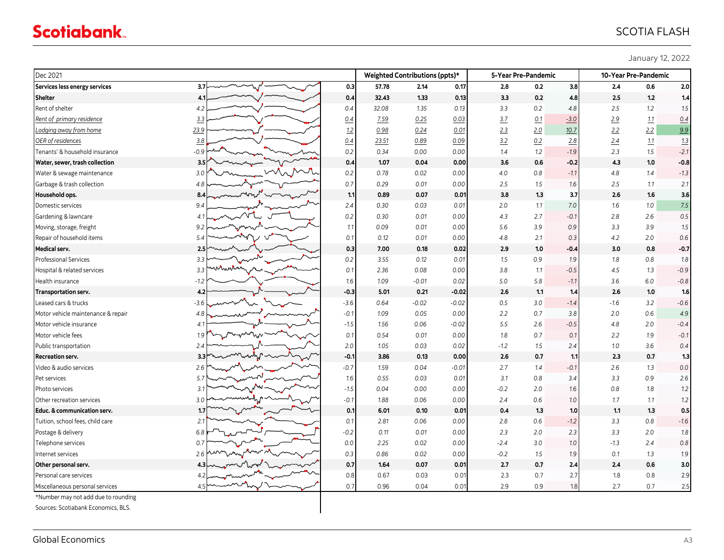January 12, 2022

| Dec 2021                            |                  |  |        |       | Weighted Contributions (ppts)* |         | 5-Year Pre-Pandemic |     |        | 10-Year Pre-Pandemic |       |        |
|-------------------------------------|------------------|--|--------|-------|--------------------------------|---------|---------------------|-----|--------|----------------------|-------|--------|
| Services less energy services       | 3.7 <sub>l</sub> |  | 0.3    | 57.78 | 2.14                           | 0.17    | 2.8                 | 0.2 | 3.8    | 2.4                  | 0.6   | 2.0    |
| <b>Shelter</b>                      | 4.1              |  | 0.4    | 32.43 | 1.33                           | 0.13    | 3.3                 | 0.2 | 4.8    | 2.5                  | 1.2   | 1.4    |
| Rent of shelter                     | 4.2              |  | 0.4    | 32.08 | 1.35                           | 0.13    | 3.3                 | 0.2 | 4.8    | 2.5                  | 1.2   | 1.5    |
| Rent of primary residence           | 3.3              |  | 0.4    | Z.59  | 0.25                           | 0.03    | 3.7                 | 0.1 | $-3.0$ | 2.9                  | 1.1   | 0.4    |
| Lodging away from home              | 23.9             |  | 1.2    | 0.98  | 0.24                           | 0.01    | 2.3                 | 2.0 | 10.7   | 2.2                  | 2.2   | 9.9    |
| OER of residences                   | 3.8              |  | 0.4    | 23.51 | 0.89                           | 0.09    | 3.2                 | 0.2 | 2.8    | 2.4                  | 1.1   | 1.3    |
| Tenants' & household insurance      | $-0.9$           |  | 0.2    | 0.34  | 0.00                           | 0.00    | 1.4                 | 1.2 | $-1.9$ | 2.3                  | 1.5   | $-2.1$ |
| Water, sewer, trash collection      | 3.5              |  | 0.4    | 1.07  | 0.04                           | 0.00    | 3.6                 | 0.6 | $-0.2$ | 4.3                  | 1.0   | $-0.8$ |
| Water & sewage maintenance          | 3.0              |  | 0.2    | 0.78  | 0.02                           | 0.00    | 4.0                 | 0.8 | $-1.1$ | 4.8                  | 1.4   | $-1.3$ |
| Garbage & trash collection          | 4.8              |  | 0.7    | 0.29  | 0.01                           | 0.00    | 2.5                 | 1.5 | 1.6    | 2.5                  | 1.1   | 2.1    |
| Household ops.                      | 8.4              |  | 1.1    | 0.89  | 0.07                           | 0.01    | 3.8                 | 1.3 | 3.7    | 2.6                  | 1.6   | 3.6    |
| Domestic services                   | 9.4              |  | 2.4    | 0.30  | 0.03                           | 0.01    | 2.0                 | 1.1 | 7.0    | 1.6                  | 1.0   | 7.5    |
| Gardening & lawncare                | 4.1              |  | 0.2    | 0.30  | 0.01                           | 0.00    | 4.3                 | 2.7 | $-0.1$ | 2.8                  | 2.6   | 0.5    |
| Moving, storage, freight            | 9.2              |  | 1.1    | 0.09  | 0.01                           | 0.00    | 5.6                 | 3.9 | 0.9    | 3.3                  | 3.9   | 1.5    |
| Repair of household items           | 5.4              |  | 0.1    | 0.12  | 0.01                           | 0.00    | 4.8                 | 2.1 | 0.3    | 4.2                  | 2.0   | 0.6    |
| <b>Medical serv.</b>                | 2.5              |  | 0.3    | 7.00  | 0.18                           | 0.02    | 2.9                 | 1.0 | $-0.4$ | 3.0                  | 0.8   | $-0.7$ |
| <b>Professional Services</b>        | 3.3              |  | 0.2    | 3.55  | 0.12                           | 0.01    | 1.5                 | 0.9 | 1.9    | 1.8                  | 0.8   | 1.8    |
| Hospital & related services         | nw<br>3.3        |  | 0.1    | 2.36  | 0.08                           | 0.00    | 3.8                 | 1.1 | $-0.5$ | 4.5                  | 1.3   | $-0.9$ |
| Health insurance                    | -1.2             |  | 1.6    | 1.09  | $-0.01$                        | 0.02    | 5.0                 | 5.8 | $-1.1$ | 3.6                  | 6.0   | $-0.8$ |
| Transportation serv.                | 4.2              |  | $-0.3$ | 5.01  | 0.21                           | $-0.02$ | 2.6                 | 1.1 | 1.4    | 2.6                  | $1.0$ | 1.6    |
| Leased cars & trucks                | -3.6             |  | $-3.6$ | 0.64  | $-0.02$                        | $-0.02$ | 0.5                 | 3.0 | $-1.4$ | $-1.6$               | 3.2   | $-0.6$ |
| Motor vehicle maintenance & repair  | 4.8              |  | $-0.1$ | 1.09  | 0.05                           | 0.00    | 2.2                 | 0.7 | 3.8    | 2.0                  | 0.6   | 4.9    |
| Motor vehicle insurance             | 4.1              |  | $-1.5$ | 1.56  | 0.06                           | $-0.02$ | 5.5                 | 2.6 | $-0.5$ | 4.8                  | 2.0   | $-0.4$ |
| Motor vehicle fees                  | 1.9              |  | 0.1    | 0.54  | 0.01                           | 0.00    | 1.8                 | 0.7 | 0.1    | 2.2                  | 1.9   | $-0.1$ |
| Public transportation               | 2.4              |  | 2.0    | 1.05  | 0.03                           | 0.02    | $-1.2$              | 1.5 | 2.4    | 1.0                  | 3.6   | 0.4    |
| <b>Recreation serv.</b>             | 3.3              |  | $-0.2$ | 3.86  | 0.13                           | 0.00    | 2.6                 | 0.7 | 1.1    | 2.3                  | 0.7   | 1.3    |
| Video & audio services              | 2.6              |  | $-0.7$ | 1.59  | 0.04                           | $-0.01$ | 2.7                 | 1.4 | $-0.1$ | 2.6                  | 1.3   | 0.0    |
| Pet services                        | 5.7              |  | 1.6    | 0.55  | 0.03                           | 0.01    | 3.1                 | 0.8 | 3.4    | 3.3                  | 0.9   | 2.6    |
| Photo services                      | 3.1              |  | $-1.5$ | 0.04  | 0.00                           | 0.00    | $-0.2$              | 2.0 | 1.6    | 0.8                  | 1.8   | 1.2    |
| Other recreation services           | 3.0              |  | $-0.1$ | 1.88  | 0.06                           | 0.00    | 2.4                 | 0.6 | 1.0    | 1.7                  | 1.1   | 1.2    |
| Educ. & communication serv.         | 1.7              |  | 0.     | 6.01  | 0.10                           | 0.01    | 0.4                 | 1.3 | 1.0    | 1.1                  | 1.3   | 0.5    |
| Tuition, school fees, child care    | 2.1              |  | 0.1    | 2.81  | 0.06                           | 0.00    | 2.8                 | 0.6 | $-1.2$ | 3.3                  | 0.8   | $-1.6$ |
| Postage & delivery                  | 6.8              |  | $-0.2$ | 0.11  | 0.01                           | 0.00    | 2.3                 | 2.0 | 2.3    | 3.3                  | 2.0   | 1.8    |
| Telephone services                  | 0.7              |  | 0.0    | 2.25  | 0.02                           | 0.00    | $-2.4$              | 3.0 | 1.0    | $-1.3$               | 2.4   | 0.8    |
| Internet services                   | 2.6              |  | 0.3    | 0.86  | 0.02                           | 0.00    | $-0.2$              | 1.5 | 1.9    | 0.1                  | 1.3   | 1.9    |
| Other personal serv.                | 4.3              |  | 0.7    | 1.64  | 0.07                           | 0.01    | 2.7                 | 0.7 | 2.4    | 2.4                  | 0.6   | 3.0    |
| Personal care services              | 4.2              |  | 0.8    | 0.67  | 0.03                           | 0.01    | 2.3                 | 0.7 | 2.7    | 1.8                  | 0.8   | 2.9    |
| Miscellaneous personal services     | 4.5              |  | 0.7    | 0.96  | 0.04                           | 0.01    | 2.9                 | 0.9 | 1.8    | 2.7                  | 0.7   | 2.5    |
| *Number may not add due to rounding |                  |  |        |       |                                |         |                     |     |        |                      |       |        |
| Sources: Scotiabank Economics, BLS. |                  |  |        |       |                                |         |                     |     |        |                      |       |        |